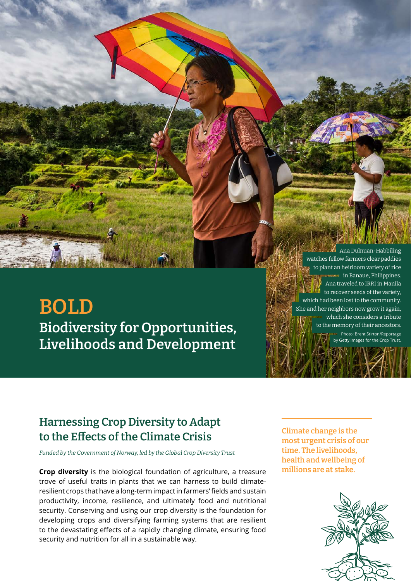# **BOLD Biodiversity for Opportunities, Livelihoods and Development**

Ana Dulnuan-Habbiling watches fellow farmers clear paddies to plant an heirloom variety of rice in Banaue, Philippines. Ana traveled to IRRI in Manila to recover seeds of the variety, which had been lost to the community. She and her neighbors now grow it again, which she considers a tribute to the memory of their ancestors. Photo: Brent Stirton/Reportage by Getty Images for the Crop Trust.

# **Harnessing Crop Diversity to Adapt to the Effects of the Climate Crisis**

*Funded by the Government of Norway, led by the Global Crop Diversity Trust*

**Crop diversity** is the biological foundation of agriculture, a treasure trove of useful traits in plants that we can harness to build climateresilient crops that have a long-term impact in farmers' fields and sustain productivity, income, resilience, and ultimately food and nutritional security. Conserving and using our crop diversity is the foundation for developing crops and diversifying farming systems that are resilient to the devastating effects of a rapidly changing climate, ensuring food security and nutrition for all in a sustainable way.

**Climate change is the most urgent crisis of our time. The livelihoods, health and wellbeing of millions are at stake.**

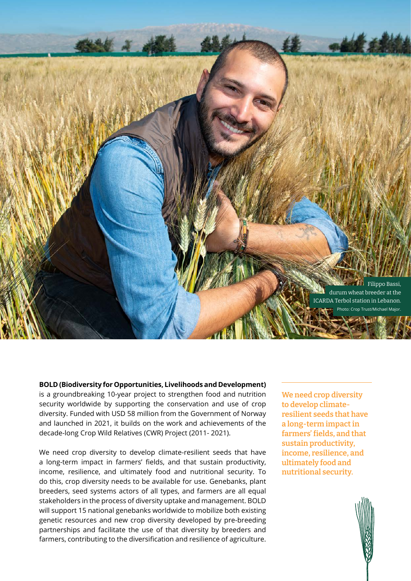

**BOLD (Biodiversity for Opportunities, Livelihoods and Development)** is a groundbreaking 10-year project to strengthen food and nutrition security worldwide by supporting the conservation and use of crop diversity. Funded with USD 58 million from the Government of Norway and launched in 2021, it builds on the work and achievements of the decade-long Crop Wild Relatives (CWR) Project (2011- 2021).

We need crop diversity to develop climate-resilient seeds that have a long-term impact in farmers' fields, and that sustain productivity, income, resilience, and ultimately food and nutritional security. To do this, crop diversity needs to be available for use. Genebanks, plant breeders, seed systems actors of all types, and farmers are all equal stakeholders in the process of diversity uptake and management. BOLD will support 15 national genebanks worldwide to mobilize both existing genetic resources and new crop diversity developed by pre-breeding partnerships and facilitate the use of that diversity by breeders and farmers, contributing to the diversification and resilience of agriculture.

**We need crop diversity to develop climateresilient seeds that have a long-term impact in farmers' fields, and that sustain productivity, income, resilience, and ultimately food and nutritional security.**

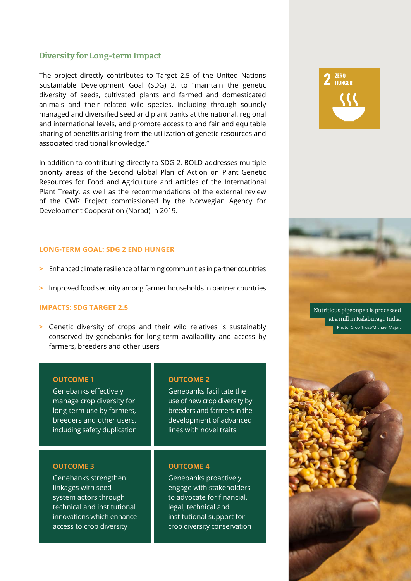### **Diversity for Long-term Impact**

The project directly contributes to Target 2.5 of the United Nations Sustainable Development Goal (SDG) 2, to "maintain the genetic diversity of seeds, cultivated plants and farmed and domesticated animals and their related wild species, including through soundly managed and diversified seed and plant banks at the national, regional and international levels, and promote access to and fair and equitable sharing of benefits arising from the utilization of genetic resources and associated traditional knowledge."

In addition to contributing directly to SDG 2, BOLD addresses multiple priority areas of the Second Global Plan of Action on Plant Genetic Resources for Food and Agriculture and articles of the International Plant Treaty, as well as the recommendations of the external review of the CWR Project commissioned by the Norwegian Agency for Development Cooperation (Norad) in 2019.

#### **LONG-TERM GOAL: SDG 2 END HUNGER**

- **>** Enhanced climate resilience of farming communities in partner countries
- **>** Improved food security among farmer households in partner countries

#### **IMPACTS: SDG TARGET 2.5**

**>** Genetic diversity of crops and their wild relatives is sustainably conserved by genebanks for long-term availability and access by farmers, breeders and other users

#### **OUTCOME 1**

Genebanks effectively manage crop diversity for long-term use by farmers, breeders and other users, including safety duplication

#### **OUTCOME 2**

Genebanks facilitate the use of new crop diversity by breeders and farmers in the development of advanced lines with novel traits

#### **OUTCOME 3**

Genebanks strengthen linkages with seed system actors through technical and institutional innovations which enhance access to crop diversity

#### **OUTCOME 4**

Genebanks proactively engage with stakeholders to advocate for financial, legal, technical and institutional support for crop diversity conservation